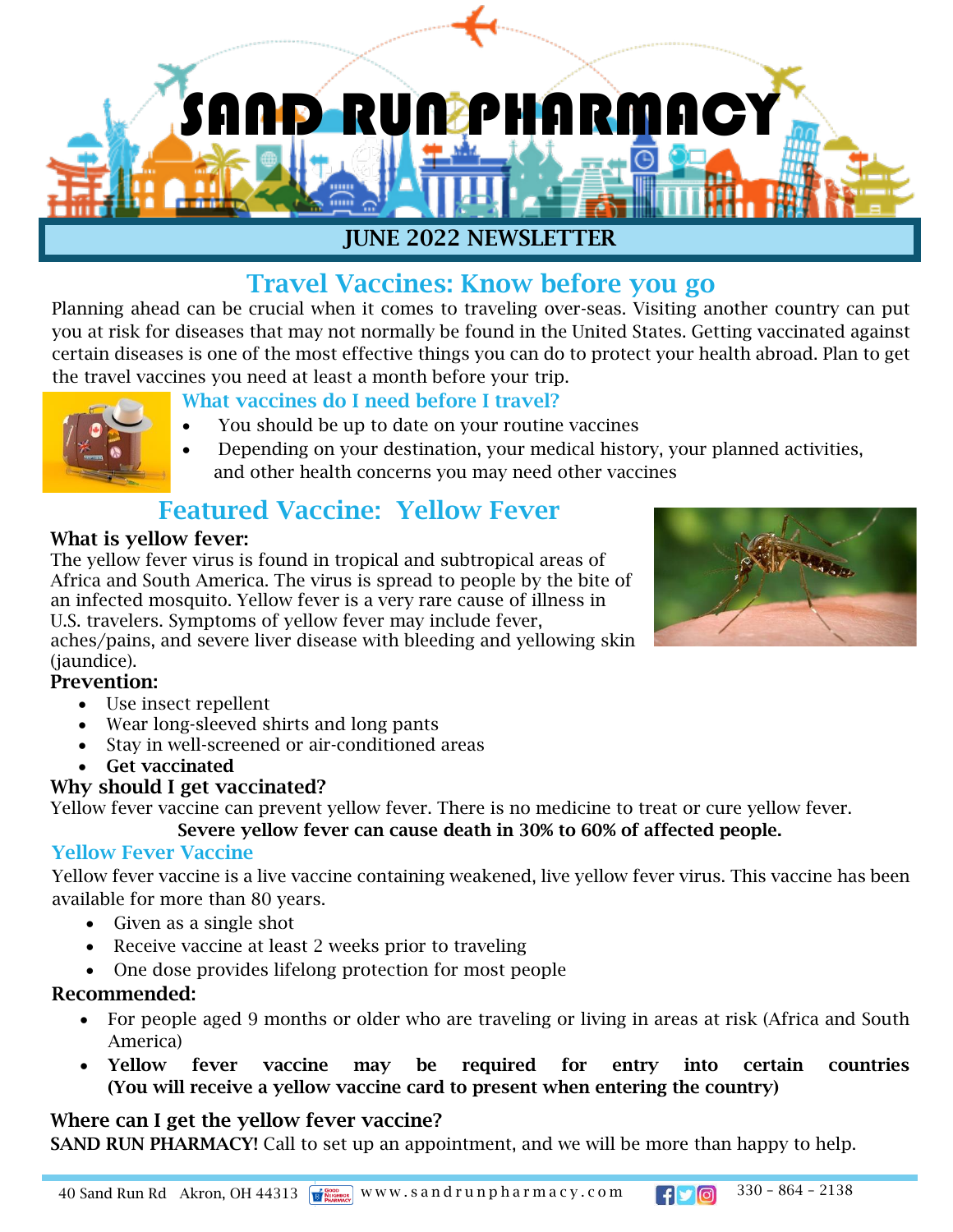

## Travel Vaccines: Know before you go

Planning ahead can be crucial when it comes to traveling over-seas. Visiting another country can put you at risk for diseases that may not normally be found in the United States. Getting vaccinated against certain diseases is one of the most effective things you can do to protect your health abroad. Plan to get the travel vaccines you need at least a month before your trip.

#### What vaccines do I need before I travel?

- You should be up to date on your routine vaccines
- Depending on your destination, your medical history, your planned activities, and other health concerns you may need other vaccines

# Featured Vaccine: Yellow Fever

#### What is yellow fever:

The yellow fever virus is found in tropical and subtropical areas of Africa and South America. The virus is spread to people by the bite of an infected mosquito. Yellow fever is a very rare cause of illness in U.S. travelers. Symptoms of yellow fever may include fever, aches/pains, and severe liver disease with bleeding and yellowing skin (jaundice).



#### Prevention:

- Use insect repellent
- Wear long-sleeved shirts and long pants
- Stay in well-screened or air-conditioned areas
- Get vaccinated

#### Why should I get vaccinated?

Yellow fever vaccine can prevent yellow fever. There is no medicine to treat or cure yellow fever.

Severe yellow fever can cause death in 30% to 60% of affected people.

#### Yellow Fever Vaccine

Yellow fever vaccine is a live vaccine containing weakened, live yellow fever virus. This vaccine has been available for more than 80 years.

- Given as a single shot
- Receive vaccine at least 2 weeks prior to traveling
- One dose provides lifelong protection for most people

#### Recommended:

- For people aged 9 months or older who are traveling or living in areas at risk (Africa and South America)
- Yellow fever vaccine may be required for entry into certain countries (You will receive a yellow vaccine card to present when entering the country)

#### Where can I get the yellow fever vaccine?

SAND RUN PHARMACY! Call to set up an appointment, and we will be more than happy to help.